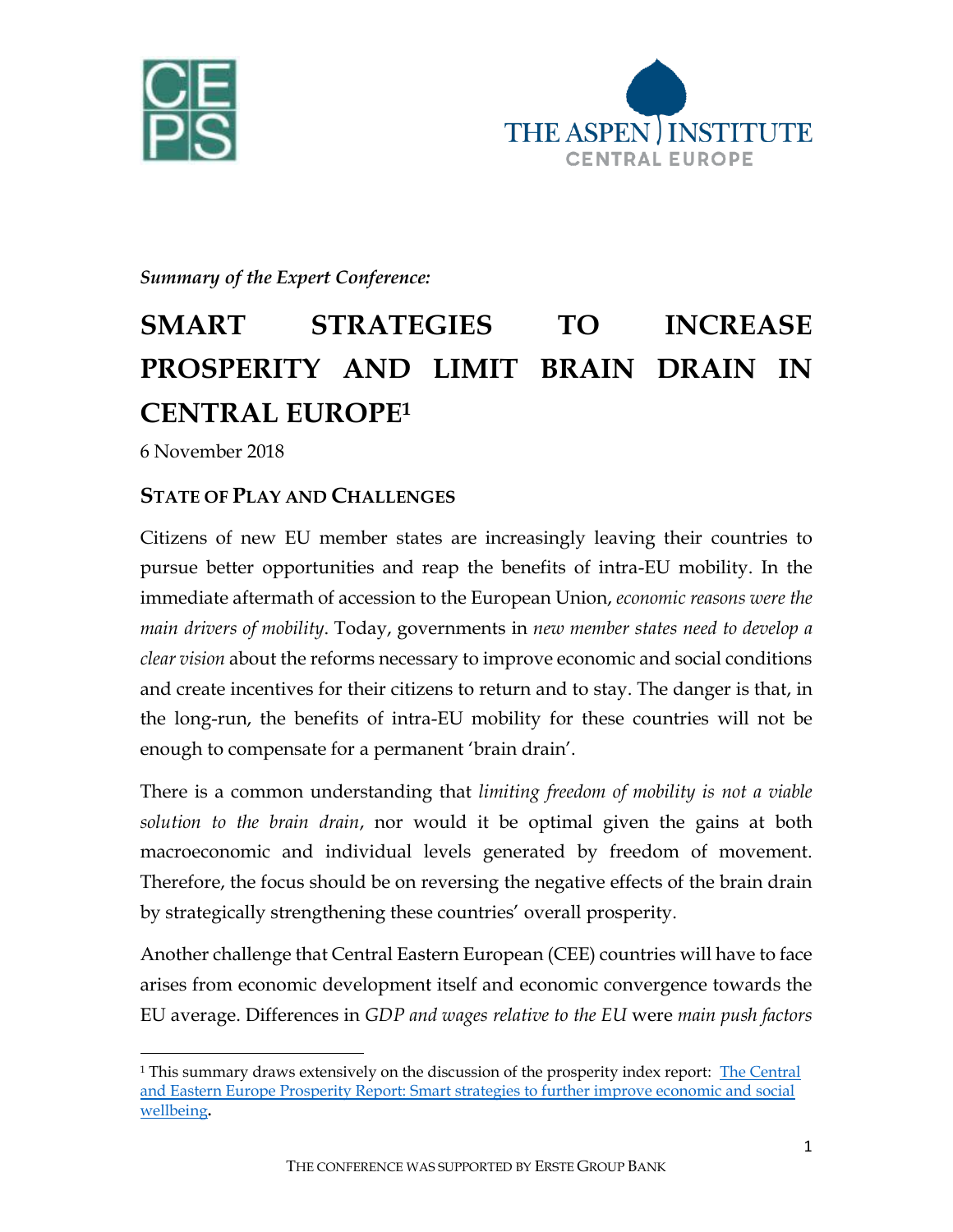



## *Summary of the Expert Conference:*

## **SMART STRATEGIES TO INCREASE PROSPERITY AND LIMIT BRAIN DRAIN IN CENTRAL EUROPE<sup>1</sup>**

6 November 2018

 $\overline{\phantom{a}}$ 

## **STATE OF PLAY AND CHALLENGES**

Citizens of new EU member states are increasingly leaving their countries to pursue better opportunities and reap the benefits of intra-EU mobility. In the immediate aftermath of accession to the European Union, *economic reasons were the main drivers of mobility*. Today, governments in *new member states need to develop a clear vision* about the reforms necessary to improve economic and social conditions and create incentives for their citizens to return and to stay. The danger is that, in the long-run, the benefits of intra-EU mobility for these countries will not be enough to compensate for a permanent 'brain drain'.

There is a common understanding that *limiting freedom of mobility is not a viable solution to the brain drain*, nor would it be optimal given the gains at both macroeconomic and individual levels generated by freedom of movement. Therefore, the focus should be on reversing the negative effects of the brain drain by strategically strengthening these countries' overall prosperity.

Another challenge that Central Eastern European (CEE) countries will have to face arises from economic development itself and economic convergence towards the EU average. Differences in *GDP and wages relative to the EU* were *main push factors*

<sup>1</sup> This summary draws extensively on the discussion of the prosperity index report: [The Central](https://www.li.com/activities/publications/the-central-and-eastern-europe-prosperity-report-smart-strategies-to-further-improve-economic-and-social-wellbeing)  [and Eastern Europe Prosperity Report: Smart strategies to further improve economic and social](https://www.li.com/activities/publications/the-central-and-eastern-europe-prosperity-report-smart-strategies-to-further-improve-economic-and-social-wellbeing)  [wellbeing](https://www.li.com/activities/publications/the-central-and-eastern-europe-prosperity-report-smart-strategies-to-further-improve-economic-and-social-wellbeing)**.**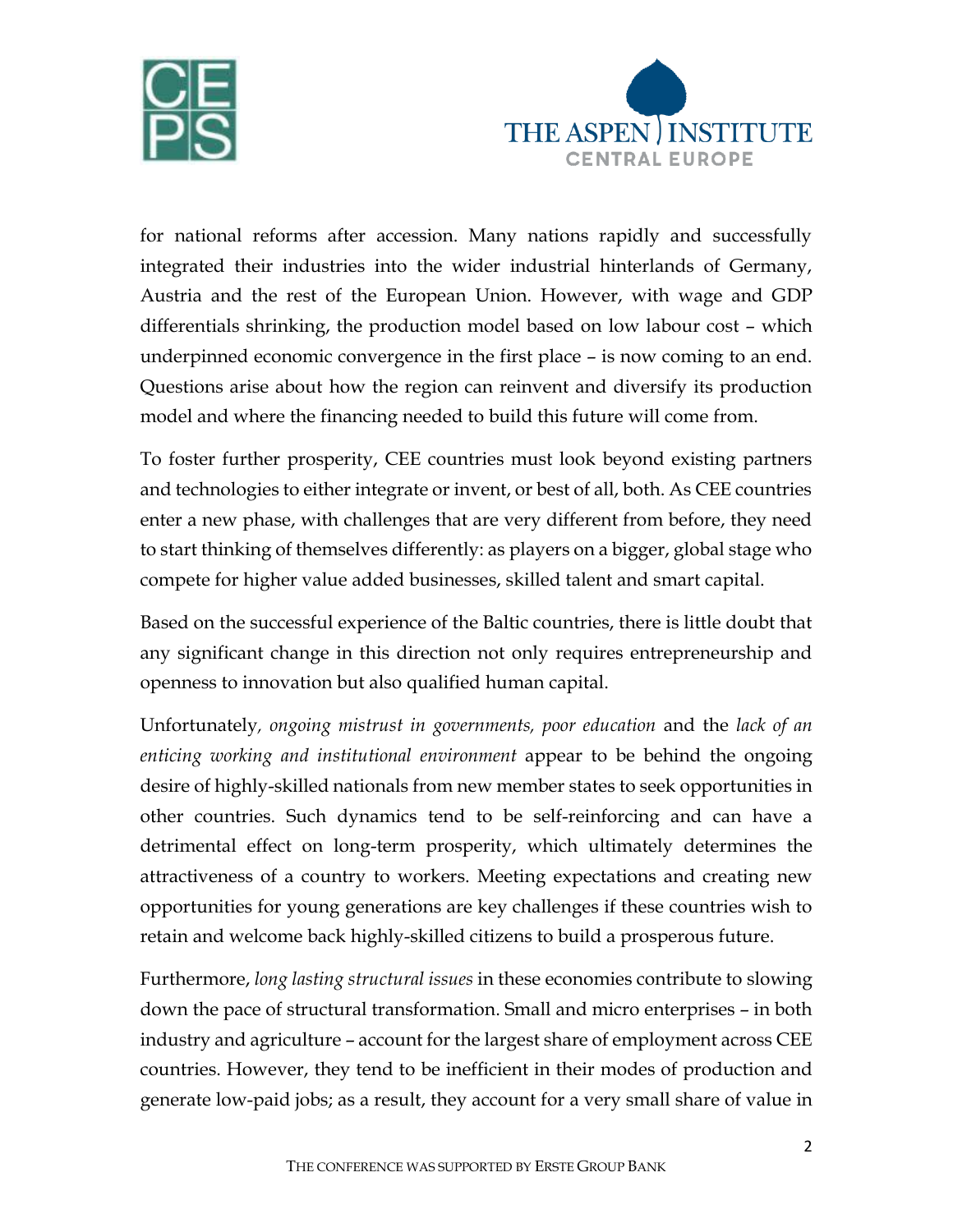



for national reforms after accession. Many nations rapidly and successfully integrated their industries into the wider industrial hinterlands of Germany, Austria and the rest of the European Union. However, with wage and GDP differentials shrinking, the production model based on low labour cost – which underpinned economic convergence in the first place – is now coming to an end. Questions arise about how the region can reinvent and diversify its production model and where the financing needed to build this future will come from.

To foster further prosperity, CEE countries must look beyond existing partners and technologies to either integrate or invent, or best of all, both. As CEE countries enter a new phase, with challenges that are very different from before, they need to start thinking of themselves differently: as players on a bigger, global stage who compete for higher value added businesses, skilled talent and smart capital.

Based on the successful experience of the Baltic countries, there is little doubt that any significant change in this direction not only requires entrepreneurship and openness to innovation but also qualified human capital.

Unfortunately*, ongoing mistrust in governments, poor education* and the *lack of an enticing working and institutional environment* appear to be behind the ongoing desire of highly-skilled nationals from new member states to seek opportunities in other countries. Such dynamics tend to be self-reinforcing and can have a detrimental effect on long-term prosperity, which ultimately determines the attractiveness of a country to workers. Meeting expectations and creating new opportunities for young generations are key challenges if these countries wish to retain and welcome back highly-skilled citizens to build a prosperous future.

Furthermore, *long lasting structural issues* in these economies contribute to slowing down the pace of structural transformation. Small and micro enterprises – in both industry and agriculture – account for the largest share of employment across CEE countries. However, they tend to be inefficient in their modes of production and generate low-paid jobs; as a result, they account for a very small share of value in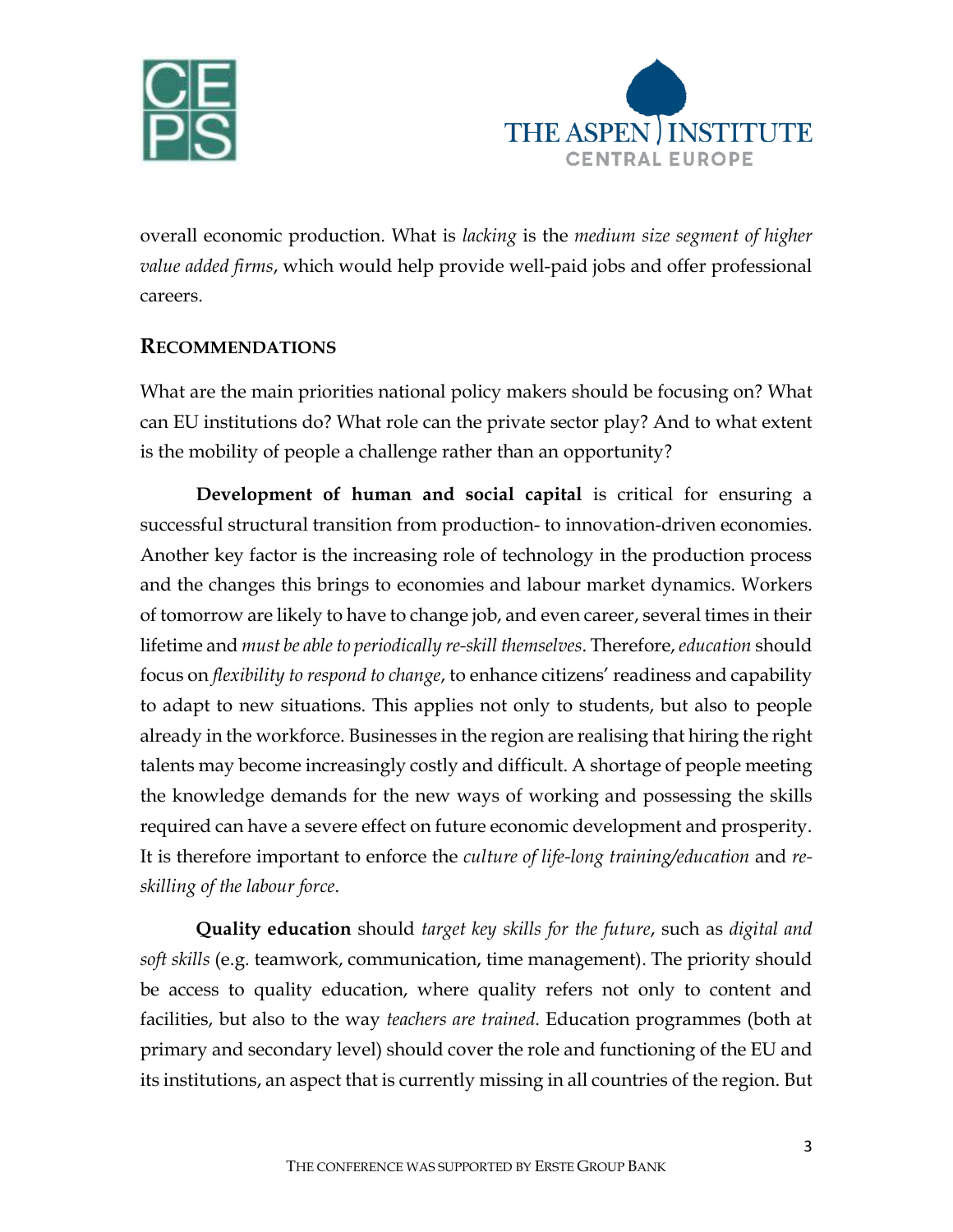



overall economic production. What is *lacking* is the *medium size segment of higher value added firms*, which would help provide well-paid jobs and offer professional careers.

## **RECOMMENDATIONS**

What are the main priorities national policy makers should be focusing on? What can EU institutions do? What role can the private sector play? And to what extent is the mobility of people a challenge rather than an opportunity?

**Development of human and social capital** is critical for ensuring a successful structural transition from production- to innovation-driven economies. Another key factor is the increasing role of technology in the production process and the changes this brings to economies and labour market dynamics. Workers of tomorrow are likely to have to change job, and even career, several times in their lifetime and *must be able to periodically re-skill themselves*. Therefore, *education* should focus on *flexibility to respond to change*, to enhance citizens' readiness and capability to adapt to new situations. This applies not only to students, but also to people already in the workforce. Businesses in the region are realising that hiring the right talents may become increasingly costly and difficult. A shortage of people meeting the knowledge demands for the new ways of working and possessing the skills required can have a severe effect on future economic development and prosperity. It is therefore important to enforce the *culture of life-long training/education* and *reskilling of the labour force*.

**Quality education** should *target key skills for the future*, such as *digital and soft skills* (e.g. teamwork, communication, time management). The priority should be access to quality education, where quality refers not only to content and facilities, but also to the way *teachers are trained*. Education programmes (both at primary and secondary level) should cover the role and functioning of the EU and its institutions, an aspect that is currently missing in all countries of the region. But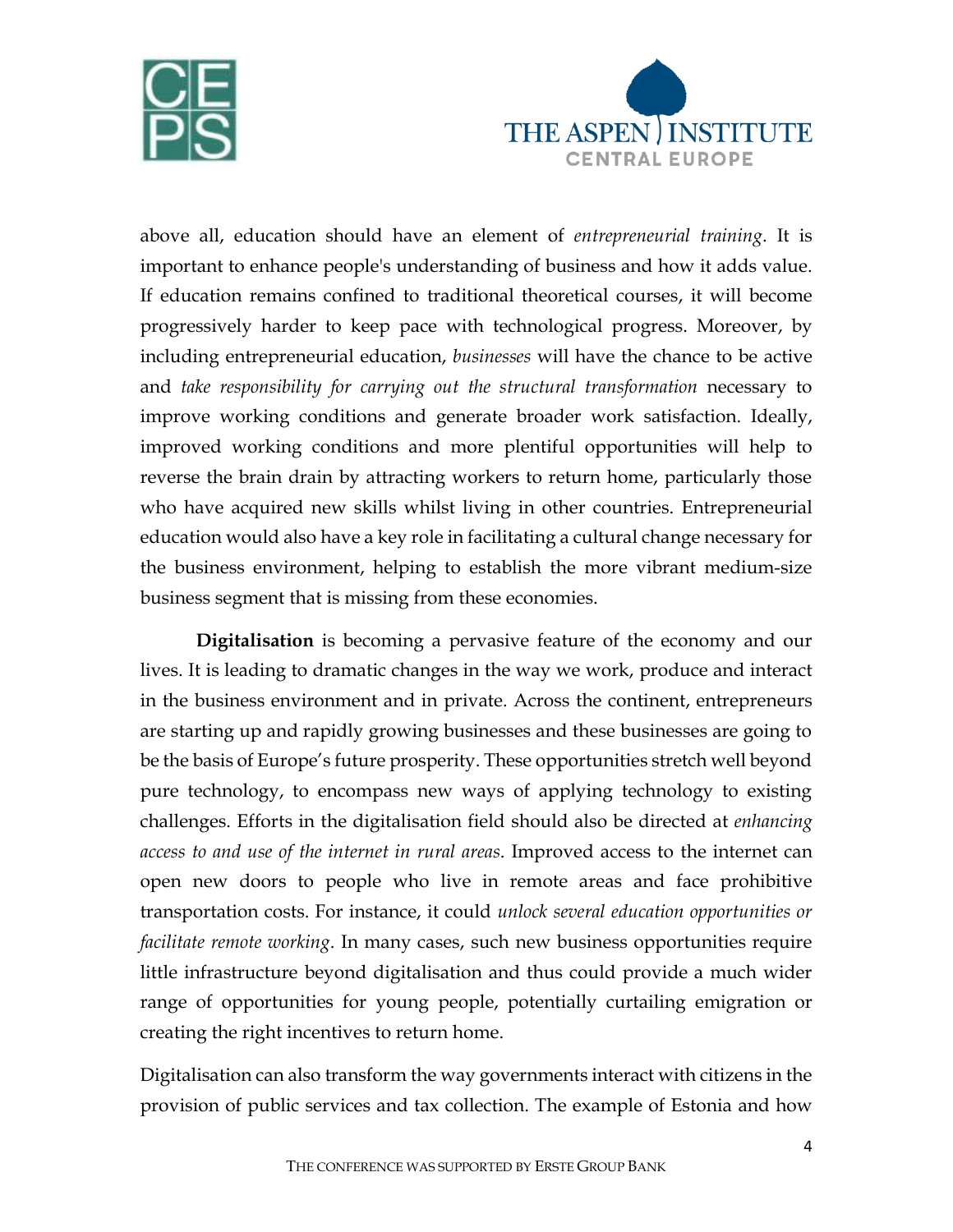



above all, education should have an element of *entrepreneurial training*. It is important to enhance people's understanding of business and how it adds value. If education remains confined to traditional theoretical courses, it will become progressively harder to keep pace with technological progress. Moreover, by including entrepreneurial education, *businesses* will have the chance to be active and *take responsibility for carrying out the structural transformation* necessary to improve working conditions and generate broader work satisfaction. Ideally, improved working conditions and more plentiful opportunities will help to reverse the brain drain by attracting workers to return home, particularly those who have acquired new skills whilst living in other countries. Entrepreneurial education would also have a key role in facilitating a cultural change necessary for the business environment, helping to establish the more vibrant medium-size business segment that is missing from these economies.

**Digitalisation** is becoming a pervasive feature of the economy and our lives. It is leading to dramatic changes in the way we work, produce and interact in the business environment and in private. Across the continent, entrepreneurs are starting up and rapidly growing businesses and these businesses are going to be the basis of Europe's future prosperity. These opportunities stretch well beyond pure technology, to encompass new ways of applying technology to existing challenges. Efforts in the digitalisation field should also be directed at *enhancing access to and use of the internet in rural areas*. Improved access to the internet can open new doors to people who live in remote areas and face prohibitive transportation costs. For instance, it could *unlock several education opportunities or facilitate remote working*. In many cases, such new business opportunities require little infrastructure beyond digitalisation and thus could provide a much wider range of opportunities for young people, potentially curtailing emigration or creating the right incentives to return home.

Digitalisation can also transform the way governments interact with citizens in the provision of public services and tax collection. The example of Estonia and how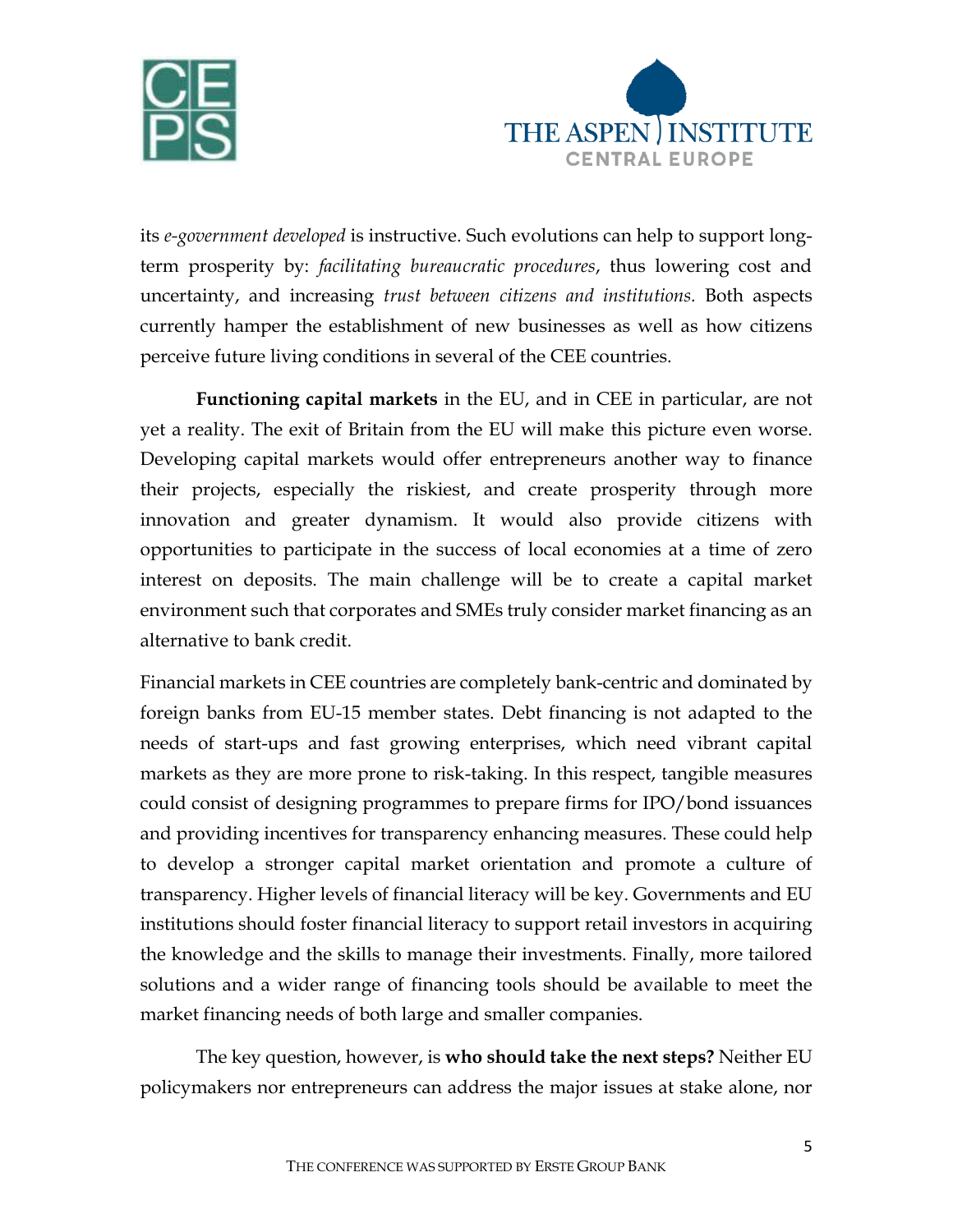



its *e-government developed* is instructive. Such evolutions can help to support longterm prosperity by: *facilitating bureaucratic procedures*, thus lowering cost and uncertainty, and increasing *trust between citizens and institutions.* Both aspects currently hamper the establishment of new businesses as well as how citizens perceive future living conditions in several of the CEE countries.

**Functioning capital markets** in the EU, and in CEE in particular, are not yet a reality. The exit of Britain from the EU will make this picture even worse. Developing capital markets would offer entrepreneurs another way to finance their projects, especially the riskiest, and create prosperity through more innovation and greater dynamism. It would also provide citizens with opportunities to participate in the success of local economies at a time of zero interest on deposits. The main challenge will be to create a capital market environment such that corporates and SMEs truly consider market financing as an alternative to bank credit.

Financial markets in CEE countries are completely bank-centric and dominated by foreign banks from EU-15 member states. Debt financing is not adapted to the needs of start-ups and fast growing enterprises, which need vibrant capital markets as they are more prone to risk-taking. In this respect, tangible measures could consist of designing programmes to prepare firms for IPO/bond issuances and providing incentives for transparency enhancing measures. These could help to develop a stronger capital market orientation and promote a culture of transparency. Higher levels of financial literacy will be key. Governments and EU institutions should foster financial literacy to support retail investors in acquiring the knowledge and the skills to manage their investments. Finally, more tailored solutions and a wider range of financing tools should be available to meet the market financing needs of both large and smaller companies.

The key question, however, is **who should take the next steps?** Neither EU policymakers nor entrepreneurs can address the major issues at stake alone, nor